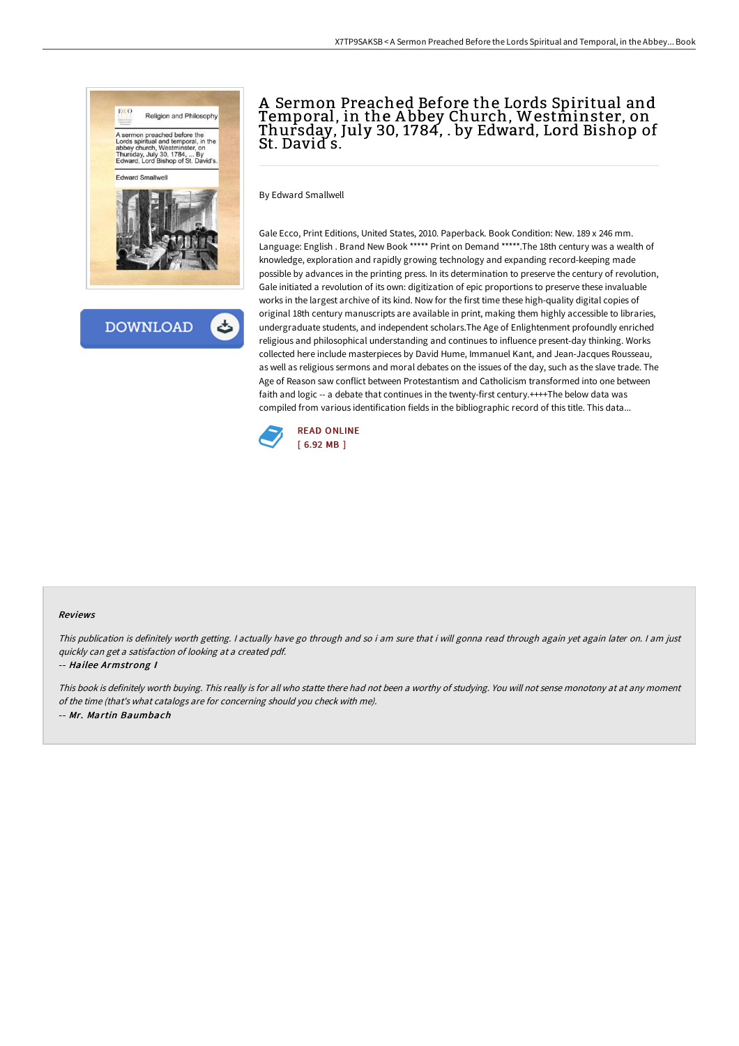

**DOWNLOAD** 

# A Sermon Preached Before the Lords Spiritual and Temporal, in the A bbey Church, Westminster, on Thursday, July 30, 1784, . by Edward, Lord Bishop of St. David s.

By Edward Smallwell

Gale Ecco, Print Editions, United States, 2010. Paperback. Book Condition: New. 189 x 246 mm. Language: English . Brand New Book \*\*\*\*\* Print on Demand \*\*\*\*\*.The 18th century was a wealth of knowledge, exploration and rapidly growing technology and expanding record-keeping made possible by advances in the printing press. In its determination to preserve the century of revolution, Gale initiated a revolution of its own: digitization of epic proportions to preserve these invaluable works in the largest archive of its kind. Now for the first time these high-quality digital copies of original 18th century manuscripts are available in print, making them highly accessible to libraries, undergraduate students, and independent scholars.The Age of Enlightenment profoundly enriched religious and philosophical understanding and continues to influence present-day thinking. Works collected here include masterpieces by David Hume, Immanuel Kant, and Jean-Jacques Rousseau, as well as religious sermons and moral debates on the issues of the day, such as the slave trade. The Age of Reason saw conflict between Protestantism and Catholicism transformed into one between faith and logic -- a debate that continues in the twenty-first century.++++The below data was compiled from various identification fields in the bibliographic record of this title. This data...



#### Reviews

This publication is definitely worth getting. I actually have go through and so i am sure that i will gonna read through again yet again later on. I am just quickly can get <sup>a</sup> satisfaction of looking at <sup>a</sup> created pdf.

#### -- Hailee Armstrong I

This book is definitely worth buying. This really is for all who statte there had not been <sup>a</sup> worthy of studying. You will not sense monotony at at any moment of the time (that's what catalogs are for concerning should you check with me). -- Mr. Martin Baumbach